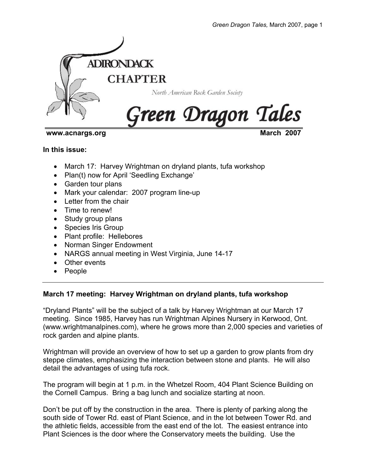

### www.acnargs.org

**In this issue:** 

- March 17: Harvey Wrightman on dryland plants, tufa workshop
- Plan(t) now for April 'Seedling Exchange'
- Garden tour plans
- Mark your calendar: 2007 program line-up
- Letter from the chair
- Time to renew!
- Study group plans
- Species Iris Group
- Plant profile: Hellebores
- Norman Singer Endowment
- NARGS annual meeting in West Virginia, June 14-17
- Other events
- People

# **March 17 meeting: Harvey Wrightman on dryland plants, tufa workshop**

"Dryland Plants" will be the subject of a talk by Harvey Wrightman at our March 17 meeting. Since 1985, Harvey has run Wrightman Alpines Nursery in Kerwood, Ont. (www.wrightmanalpines.com), where he grows more than 2,000 species and varieties of rock garden and alpine plants.

Wrightman will provide an overview of how to set up a garden to grow plants from dry steppe climates, emphasizing the interaction between stone and plants. He will also detail the advantages of using tufa rock.

The program will begin at 1 p.m. in the Whetzel Room, 404 Plant Science Building on the Cornell Campus. Bring a bag lunch and socialize starting at noon.

Don't be put off by the construction in the area. There is plenty of parking along the south side of Tower Rd. east of Plant Science, and in the lot between Tower Rd. and the athletic fields, accessible from the east end of the lot. The easiest entrance into Plant Sciences is the door where the Conservatory meets the building. Use the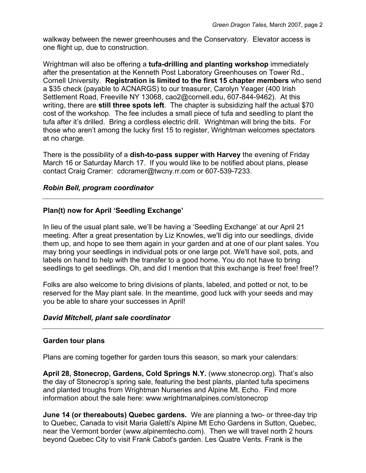walkway between the newer greenhouses and the Conservatory. Elevator access is one flight up, due to construction.

Wrightman will also be offering a **tufa-drilling and planting workshop** immediately after the presentation at the Kenneth Post Laboratory Greenhouses on Tower Rd., Cornell University. **Registration is limited to the first 15 chapter members** who send a \$35 check (payable to ACNARGS) to our treasurer, Carolyn Yeager (400 Irish Settlement Road, Freeville NY 13068, cao2@cornell.edu, 607-844-9462). At this writing, there are **still three spots left**. The chapter is subsidizing half the actual \$70 cost of the workshop. The fee includes a small piece of tufa and seedling to plant the tufa after it's drilled. Bring a cordless electric drill. Wrightman will bring the bits. For those who aren't among the lucky first 15 to register, Wrightman welcomes spectators at no charge.

There is the possibility of a **dish-to-pass supper with Harvey** the evening of Friday March 16 or Saturday March 17. If you would like to be notified about plans, please contact Craig Cramer: cdcramer@twcny.rr.com or 607-539-7233.

# *Robin Bell, program coordinator*

## **Plan(t) now for April 'Seedling Exchange'**

In lieu of the usual plant sale, we'll be having a 'Seedling Exchange' at our April 21 meeting. After a great presentation by Liz Knowles, we'll dig into our seedlings, divide them up, and hope to see them again in your garden and at one of our plant sales. You may bring your seedlings in individual pots or one large pot. We'll have soil, pots, and labels on hand to help with the transfer to a good home. You do not have to bring seedlings to get seedlings. Oh, and did I mention that this exchange is free! free! free!?

Folks are also welcome to bring divisions of plants, labeled, and potted or not, to be reserved for the May plant sale. In the meantime, good luck with your seeds and may you be able to share your successes in April!

### *David Mitchell, plant sale coordinator*

### **Garden tour plans**

Plans are coming together for garden tours this season, so mark your calendars:

**April 28, Stonecrop, Gardens, Cold Springs N.Y.** (www.stonecrop.org). That's also the day of Stonecrop's spring sale, featuring the best plants, planted tufa specimens and planted troughs from Wrightman Nurseries and Alpine Mt. Echo. Find more information about the sale here: www.wrightmanalpines.com/stonecrop

**June 14 (or thereabouts) Quebec gardens.** We are planning a two- or three-day trip to Quebec, Canada to visit Maria Galetti's Alpine Mt Echo Gardens in Sutton, Quebec, near the Vermont border (www.alpinemtecho.com). Then we will travel north 2 hours beyond Quebec City to visit Frank Cabot's garden. Les Quatre Vents. Frank is the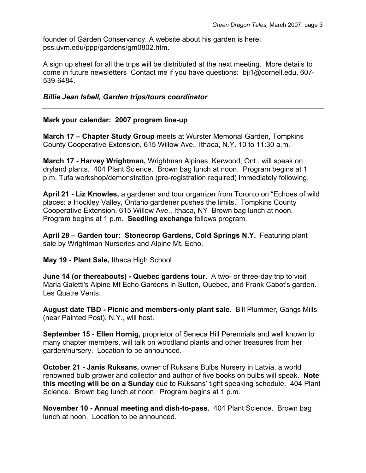founder of Garden Conservancy. A website about his garden is here: pss.uvm.edu/ppp/gardens/gm0802.htm.

A sign up sheet for all the trips will be distributed at the next meeting. More details to come in future newsletters Contact me if you have questions: bji1@cornell.edu, 607- 539-6484.

## *Billie Jean Isbell, Garden trips/tours coordinator*

## **Mark your calendar: 2007 program line-up**

**March 17 – Chapter Study Group** meets at Wurster Memorial Garden, Tompkins County Cooperative Extension, 615 Willow Ave., Ithaca, N.Y. 10 to 11:30 a.m.

**March 17 - Harvey Wrightman,** Wrightman Alpines, Kerwood, Ont., will speak on dryland plants. 404 Plant Science. Brown bag lunch at noon. Program begins at 1 p.m. Tufa workshop/demonstration (pre-registration required) immediately following.

**April 21 - Liz Knowles,** a gardener and tour organizer from Toronto on "Echoes of wild places: a Hockley Valley, Ontario gardener pushes the limits." Tompkins County Cooperative Extension, 615 Willow Ave., Ithaca, NY Brown bag lunch at noon. Program begins at 1 p.m. **Seedling exchange** follows program.

**April 28 – Garden tour: Stonecrop Gardens, Cold Springs N.Y.** Featuring plant sale by Wrightman Nurseries and Alpine Mt. Echo.

**May 19 - Plant Sale,** Ithaca High School

**June 14 (or thereabouts) - Quebec gardens tour.** A two- or three-day trip to visit Maria Galetti's Alpine Mt Echo Gardens in Sutton, Quebec, and Frank Cabot's garden. Les Quatre Vents.

**August date TBD - Picnic and members-only plant sale.** Bill Plummer, Gangs Mills (near Painted Post), N.Y., will host.

**September 15 - Ellen Hornig,** proprietor of Seneca Hill Perennials and well known to many chapter members, will talk on woodland plants and other treasures from her garden/nursery. Location to be announced.

**October 21 - Janis Ruksans,** owner of Ruksans Bulbs Nursery in Latvia, a world renowned bulb grower and collector and author of five books on bulbs will speak. **Note this meeting will be on a Sunday** due to Ruksans' tight speaking schedule. 404 Plant Science. Brown bag lunch at noon. Program begins at 1 p.m.

**November 10 - Annual meeting and dish-to-pass.** 404 Plant Science. Brown bag lunch at noon. Location to be announced.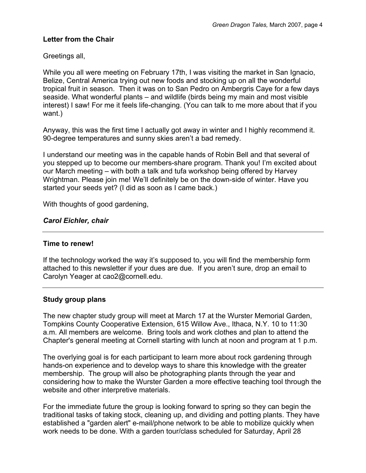# **Letter from the Chair**

Greetings all,

While you all were meeting on February 17th, I was visiting the market in San Ignacio, Belize, Central America trying out new foods and stocking up on all the wonderful tropical fruit in season. Then it was on to San Pedro on Ambergris Caye for a few days seaside. What wonderful plants – and wildlife (birds being my main and most visible interest) I saw! For me it feels life-changing. (You can talk to me more about that if you want.)

Anyway, this was the first time I actually got away in winter and I highly recommend it. 90-degree temperatures and sunny skies aren't a bad remedy.

I understand our meeting was in the capable hands of Robin Bell and that several of you stepped up to become our members-share program. Thank you! I'm excited about our March meeting – with both a talk and tufa workshop being offered by Harvey Wrightman. Please join me! We'll definitely be on the down-side of winter. Have you started your seeds yet? (I did as soon as I came back.)

With thoughts of good gardening,

# *Carol Eichler, chair*

### **Time to renew!**

If the technology worked the way it's supposed to, you will find the membership form attached to this newsletter if your dues are due. If you aren't sure, drop an email to Carolyn Yeager at cao2@cornell.edu.

### **Study group plans**

The new chapter study group will meet at March 17 at the Wurster Memorial Garden, Tompkins County Cooperative Extension, 615 Willow Ave., Ithaca, N.Y. 10 to 11:30 a.m. All members are welcome. Bring tools and work clothes and plan to attend the Chapter's general meeting at Cornell starting with lunch at noon and program at 1 p.m.

The overlying goal is for each participant to learn more about rock gardening through hands-on experience and to develop ways to share this knowledge with the greater membership. The group will also be photographing plants through the year and considering how to make the Wurster Garden a more effective teaching tool through the website and other interpretive materials.

For the immediate future the group is looking forward to spring so they can begin the traditional tasks of taking stock, cleaning up, and dividing and potting plants. They have established a "garden alert" e-mail/phone network to be able to mobilize quickly when work needs to be done. With a garden tour/class scheduled for Saturday, April 28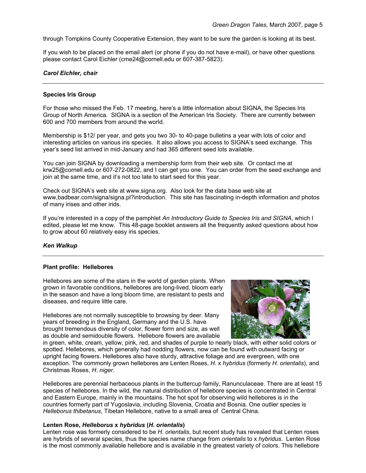through Tompkins County Cooperative Extension, they want to be sure the garden is looking at its best.

If you wish to be placed on the email alert (or phone if you do not have e-mail), or have other questions please contact Carol Eichler (cme24@cornell.edu or 607-387-5823).

#### *Carol Eichler, chair*

#### **Species Iris Group**

For those who missed the Feb. 17 meeting, here's a little information about SIGNA, the Species Iris Group of North America. SIGNA is a section of the American Iris Society. There are currently between 600 and 700 members from around the world.

Membership is \$12/ per year, and gets you two 30- to 40-page bulletins a year with lots of color and interesting articles on various iris species. It also allows you access to SIGNA's seed exchange. This year's seed list arrived in mid-January and had 365 different seed lots available.

You can join SIGNA by downloading a membership form from their web site. Or contact me at krw25@cornell.edu or 607-272-0822, and I can get you one. You can order from the seed exchange and join at the same time, and it's not too late to start seed for this year.

Check out SIGNA's web site at www.signa.org. Also look for the data base web site at www,badbear.com/signa/signa.pl?introduction. This site has fascinating in-depth information and photos of many irises and other irids.

If you're interested in a copy of the pamphlet *An Introductory Guide to Species Iris and SIGNA*, which I edited, please let me know. This 48-page booklet answers all the frequently asked questions about how to grow about 60 relatively easy iris species.

#### *Ken Walkup*

#### **Plant profile: Hellebores**

Hellebores are some of the stars in the world of garden plants. When grown in favorable conditions, hellebores are long-lived, bloom early in the season and have a long bloom time, are resistant to pests and diseases, and require little care.

Hellebores are not normally susceptible to browsing by deer. Many years of breeding in the England, Germany and the U.S. have brought tremendous diversity of color, flower form and size, as well as double and semidouble flowers. Hellebore flowers are available



in green, white, cream, yellow, pink, red, and shades of purple to nearly black, with either solid colors or spotted. Hellebores, which generally had nodding flowers, now can be found with outward facing or upright facing flowers. Hellebores also have sturdy, attractive foliage and are evergreen, with one exception. The commonly grown hellebores are Lenten Roses, *H*. x *hybridus* (formerly *H*. *orientalis*), and Christmas Roses, *H*. *niger*.

Hellebores are perennial herbaceous plants in the buttercup family, Ranunculaceae. There are at least 15 species of hellebores. In the wild, the natural distribution of hellebore species is concentrated in Central and Eastern Europe, mainly in the mountains. The hot spot for observing wild hellebores is in the countries formerly part of Yugoslavia, including Slovenia, Croatia and Bosnia. One outlier species is *Helleborus thibetanus*, Tibetan Hellebore, native to a small area of Central China.

#### **Lenten Rose,** *Helleborus* **x** *hybridus* **(***H***.** *orientalis***)**

Lenten rose was formerly considered to be *H*. *orientalis*, but recent study has revealed that Lenten roses are hybrids of several species, thus the species name change from *orientalis* to x *hybridus*. Lenten Rose is the most commonly available hellebore and is available in the greatest variety of colors. This hellebore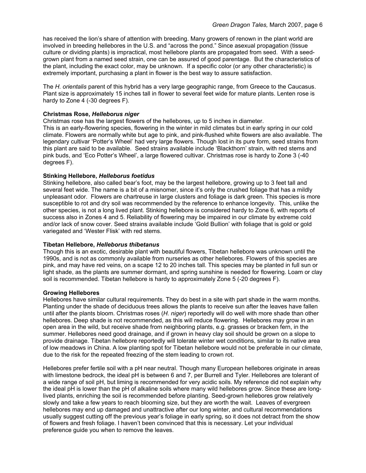has received the lion's share of attention with breeding. Many growers of renown in the plant world are involved in breeding hellebores in the U.S. and "across the pond." Since asexual propagation (tissue culture or dividing plants) is impractical, most hellebore plants are propagated from seed. With a seedgrown plant from a named seed strain, one can be assured of good parentage. But the characteristics of the plant, including the exact color, may be unknown. If a specific color (or any other characteristic) is extremely important, purchasing a plant in flower is the best way to assure satisfaction.

The *H. orientalis* parent of this hybrid has a very large geographic range, from Greece to the Caucasus. Plant size is approximately 15 inches tall in flower to several feet wide for mature plants. Lenten rose is hardy to Zone 4 (-30 degrees F).

#### **Christmas Rose,** *Helleborus niger*

Christmas rose has the largest flowers of the hellebores, up to 5 inches in diameter. This is an early-flowering species, flowering in the winter in mild climates but in early spring in our cold climate. Flowers are normally white but age to pink, and pink-flushed white flowers are also available. The legendary cultivar 'Potter's Wheel' had very large flowers. Though lost in its pure form, seed strains from this plant are said to be available. Seed strains available include 'Blackthorn' strain, with red stems and pink buds, and 'Eco Potter's Wheel', a large flowered cultivar. Christmas rose is hardy to Zone 3 (-40 degrees F).

### **Stinking Hellebore,** *Helleborus foetidus*

Stinking hellebore, also called bear's foot, may be the largest hellebore, growing up to 3 feet tall and several feet wide. The name is a bit of a misnomer, since it's only the crushed foliage that has a mildly unpleasant odor. Flowers are chartreuse in large clusters and foliage is dark green. This species is more susceptible to rot and dry soil was recommended by the reference to enhance longevity. This, unlike the other species, is not a long lived plant. Stinking hellebore is considered hardy to Zone 6, with reports of success also in Zones 4 and 5. Reliability of flowering may be impaired in our climate by extreme cold and/or lack of snow cover. Seed strains available include 'Gold Bullion' with foliage that is gold or gold variegated and 'Wester Flisk' with red stems.

#### **Tibetan Hellebore,** *Helleborus thibetanus*

Though this is an exotic, desirable plant with beautiful flowers, Tibetan hellebore was unknown until the 1990s, and is not as commonly available from nurseries as other hellebores. Flowers of this species are pink, and may have red veins, on a scape 12 to 20 inches tall. This species may be planted in full sun or light shade, as the plants are summer dormant, and spring sunshine is needed for flowering. Loam or clay soil is recommended. Tibetan hellebore is hardy to approximately Zone 5 (-20 degrees F).

#### **Growing Hellebores**

Hellebores have similar cultural requirements. They do best in a site with part shade in the warm months. Planting under the shade of deciduous trees allows the plants to receive sun after the leaves have fallen until after the plants bloom. Christmas roses (*H. niger*) reportedly will do well with more shade than other hellebores. Deep shade is not recommended, as this will reduce flowering. Hellebores may grow in an open area in the wild, but receive shade from neighboring plants, e.g. grasses or bracken fern, in the summer. Hellebores need good drainage, and if grown in heavy clay soil should be grown on a slope to provide drainage. Tibetan hellebore reportedly will tolerate winter wet conditions, similar to its native area of low meadows in China. A low planting spot for Tibetan hellebore would not be preferable in our climate, due to the risk for the repeated freezing of the stem leading to crown rot.

Hellebores prefer fertile soil with a pH near neutral. Though many European hellebores originate in areas with limestone bedrock, the ideal pH is between 6 and 7, per Burrell and Tyler. Hellebores are tolerant of a wide range of soil pH, but liming is recommended for very acidic soils. My reference did not explain why the ideal pH is lower than the pH of alkaline soils where many wild hellebores grow. Since these are longlived plants, enriching the soil is recommended before planting. Seed-grown hellebores grow relatively slowly and take a few years to reach blooming size, but they are worth the wait. Leaves of evergreen hellebores may end up damaged and unattractive after our long winter, and cultural recommendations usually suggest cutting off the previous year's foliage in early spring, so it does not detract from the show of flowers and fresh foliage. I haven't been convinced that this is necessary. Let your individual preference guide you when to remove the leaves.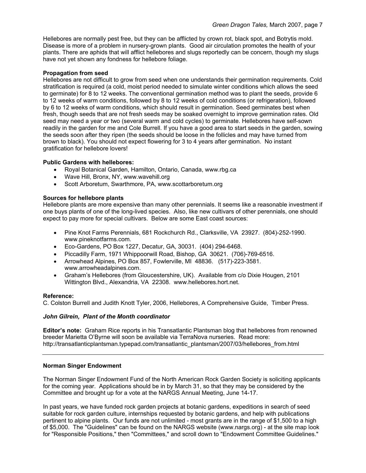Hellebores are normally pest free, but they can be afflicted by crown rot, black spot, and Botrytis mold. Disease is more of a problem in nursery-grown plants. Good air circulation promotes the health of your plants. There are aphids that will afflict hellebores and slugs reportedly can be concern, though my slugs have not yet shown any fondness for hellebore foliage.

#### **Propagation from seed**

Hellebores are not difficult to grow from seed when one understands their germination requirements. Cold stratification is required (a cold, moist period needed to simulate winter conditions which allows the seed to germinate) for 8 to 12 weeks. The conventional germination method was to plant the seeds, provide 6 to 12 weeks of warm conditions, followed by 8 to 12 weeks of cold conditions (or refrigeration), followed by 6 to 12 weeks of warm conditions, which should result in germination. Seed germinates best when fresh, though seeds that are not fresh seeds may be soaked overnight to improve germination rates. Old seed may need a year or two (several warm and cold cycles) to germinate. Hellebores have self-sown readily in the garden for me and Cole Burrell. If you have a good area to start seeds in the garden, sowing the seeds soon after they ripen (the seeds should be loose in the follicles and may have turned from brown to black). You should not expect flowering for 3 to 4 years after germination. No instant gratification for hellebore lovers!

### **Public Gardens with hellebores:**

- Royal Botanical Garden, Hamilton, Ontario, Canada, www.rbg.ca
- Wave Hill, Bronx, NY, www.wavehill.org
- Scott Arboretum, Swarthmore, PA, www.scottarboretum.org

#### **Sources for hellebore plants**

Hellebore plants are more expensive than many other perennials. It seems like a reasonable investment if one buys plants of one of the long-lived species. Also, like new cultivars of other perennials, one should expect to pay more for special cultivars. Below are some East coast sources:

- Pine Knot Farms Perennials, 681 Rockchurch Rd., Clarksville, VA 23927. (804)-252-1990. www.pineknotfarms.com.
- Eco-Gardens, PO Box 1227, Decatur, GA, 30031. (404) 294-6468.
- Piccadilly Farm, 1971 Whippoorwill Road, Bishop, GA 30621. (706)-769-6516.
- Arrowhead Alpines, PO Box 857, Fowlerville, MI 48836. (517)-223-3581. www.arrowheadalpines.com.
- Graham's Hellebores (from Gloucestershire, UK). Available from c/o Dixie Hougen, 2101 Wittington Blvd., Alexandria, VA 22308. www.hellebores.hort.net.

#### **Reference:**

C. Colston Burrell and Judith Knott Tyler, 2006, Hellebores, A Comprehensive Guide, Timber Press.

#### *John Gilrein, Plant of the Month coordinator*

**Editor's note:** Graham Rice reports in his Transatlantic Plantsman blog that hellebores from renowned breeder Marietta O'Byrne will soon be available via TerraNova nurseries. Read more: http://transatlanticplantsman.typepad.com/transatlantic\_plantsman/2007/03/hellebores\_from.html

#### **Norman Singer Endowment**

The Norman Singer Endowment Fund of the North American Rock Garden Society is soliciting applicants for the coming year. Applications should be in by March 31, so that they may be considered by the Committee and brought up for a vote at the NARGS Annual Meeting, June 14-17.

In past years, we have funded rock garden projects at botanic gardens, expeditions in search of seed suitable for rock garden culture, internships requested by botanic gardens, and help with publications pertinent to alpine plants. Our funds are not unlimited - most grants are in the range of \$1,500 to a high of \$5,000. The "Guidelines" can be found on the NARGS website (www.nargs.org) - at the site map look for "Responsible Positions," then "Committees," and scroll down to "Endowment Committee Guidelines."